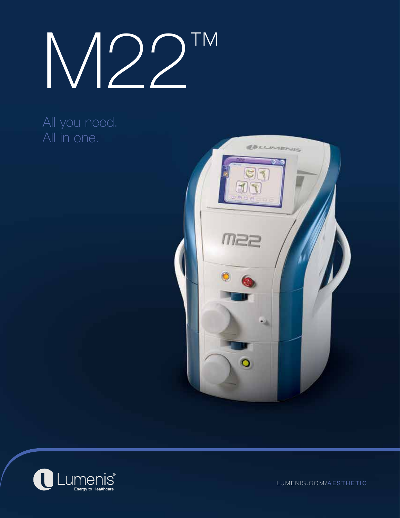M22™

## All you need. All in one.





LUMENIS.COM/AESTHETIC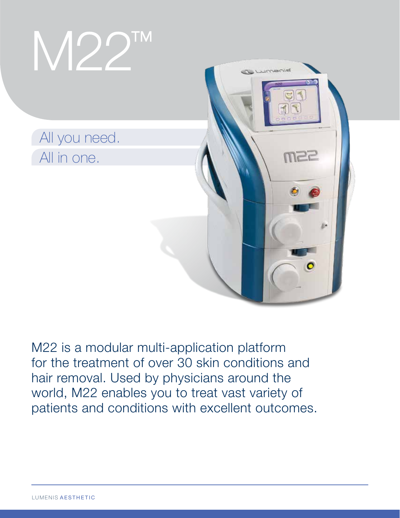

M22 is a modular multi-application platform for the treatment of over 30 skin conditions and hair removal. Used by physicians around the world, M22 enables you to treat vast variety of patients and conditions with excellent outcomes.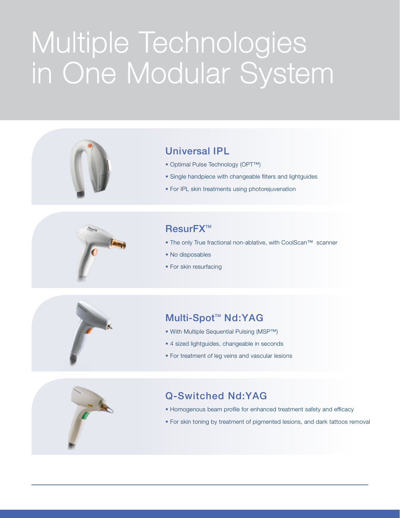# Multiple Technologies in One Modular System



### Universal IPL

- Optimal Pulse Technology (OPT™)
- Single handpiece with changeable filters and lightguides
- For IPL skin treatments using photorejuvenation



### ResurFX™

- The only True fractional non-ablative, with CoolScan™ scanner
- No disposables
- For skin resurfacing

## Multi-Spot<sup>™</sup> Nd:YAG

- With Multiple Sequential Pulsing (MSP™)
- 4 sized lightguides, changeable in seconds
- For treatment of leg veins and vascular lesions



### Q-Switched Nd:YAG

- Homogenous beam profile for enhanced treatment safety and efficacy
- For skin toning by treatment of pigmented lesions, and dark tattoos removal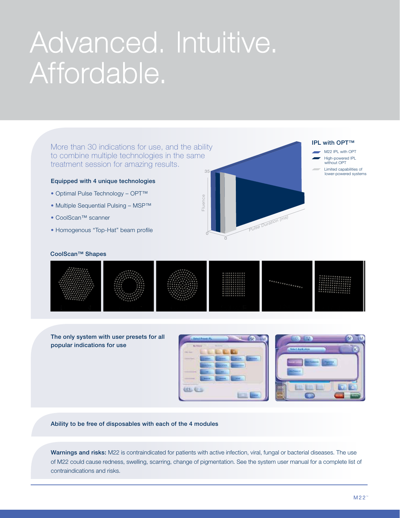## Advanced. Intuitive. Affordable.

More than 30 indications for use, and the ability to combine multiple technologies in the same treatment session for amazing results.

#### Equipped with 4 unique technologies

- Optimal Pulse Technology OPT™
- Multiple Sequential Pulsing MSP™
- CoolScan™ scanner
- Homogenous "Top-Hat" beam profile



#### IPL with OPT™

- M22 IPL with OPT
- High-powered IPL without OPT
- - Limited capabilities of lower-powered systems

#### CoolScan™ Shapes



The only system with user presets for all popular indications for use





Ability to be free of disposables with each of the 4 modules

Warnings and risks: M22 is contraindicated for patients with active infection, viral, fungal or bacterial diseases. The use of M22 could cause redness, swelling, scarring, change of pigmentation. See the system user manual for a complete list of contraindications and risks.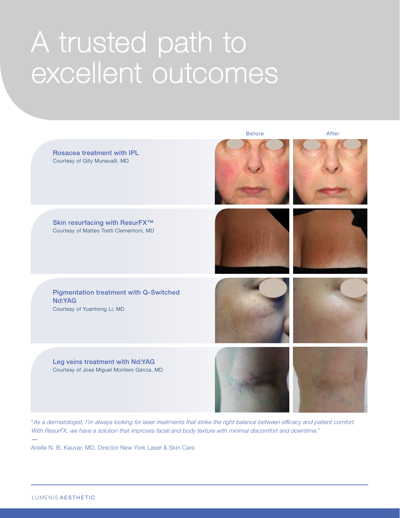## A trusted path to excellent outcomes



"As a dermatologist, I'm always looking for laser treatments that strike the right balance between efficacy and patient comfort. With ResurFX, we have a solution that improves facial and body texture with minimal discomfort and downtime."<br>—<br>Arialla N. D. Kauvar MD. Directer Naw York Lease & Skip Care

Arielle N. B. Kauvar, MD, Director New York Laser & Skin Care